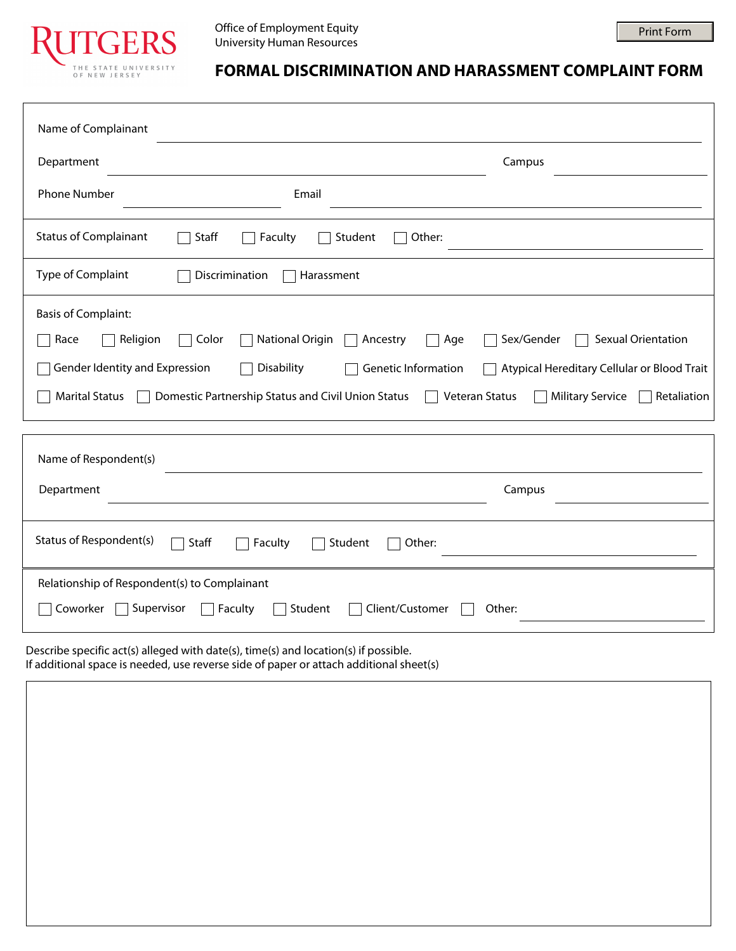

## **FORMAL DISCRIMINATION AND HARASSMENT COMPLAINT FORM**

Print Form

| Name of Complainant                                                                                       |                                                                                                                                               |                                                                                                                                                    |
|-----------------------------------------------------------------------------------------------------------|-----------------------------------------------------------------------------------------------------------------------------------------------|----------------------------------------------------------------------------------------------------------------------------------------------------|
| Department                                                                                                |                                                                                                                                               | Campus<br>$\blacktriangledown$                                                                                                                     |
| <b>Phone Number</b>                                                                                       | Email                                                                                                                                         |                                                                                                                                                    |
| <b>Status of Complainant</b>                                                                              | Staff<br>Other:<br>Faculty<br>Student                                                                                                         |                                                                                                                                                    |
| Type of Complaint                                                                                         | Discrimination<br>Harassment                                                                                                                  |                                                                                                                                                    |
| <b>Basis of Complaint:</b><br>Religion<br>Race<br>Gender Identity and Expression<br><b>Marital Status</b> | <b>National Origin</b><br>Color<br>Age<br>Ancestry<br>Disability<br>Genetic Information<br>Domestic Partnership Status and Civil Union Status | <b>Sexual Orientation</b><br>Sex/Gender<br>Atypical Hereditary Cellular or Blood Trait<br>Veteran Status<br><b>Military Service</b><br>Retaliation |
| Name of Respondent(s)<br>Department                                                                       |                                                                                                                                               | Campus<br>$\blacktriangledown$                                                                                                                     |
| Status of Respondent(s)                                                                                   | Staff<br>Student<br>Other:<br>Faculty                                                                                                         |                                                                                                                                                    |
| Relationship of Respondent(s) to Complainant<br>Coworker<br>Supervisor                                    | Client/Customer<br>Student<br>Faculty                                                                                                         | Other:                                                                                                                                             |

Describe specific act(s) alleged with date(s), time(s) and location(s) if possible. If additional space is needed, use reverse side of paper or attach additional sheet(s)